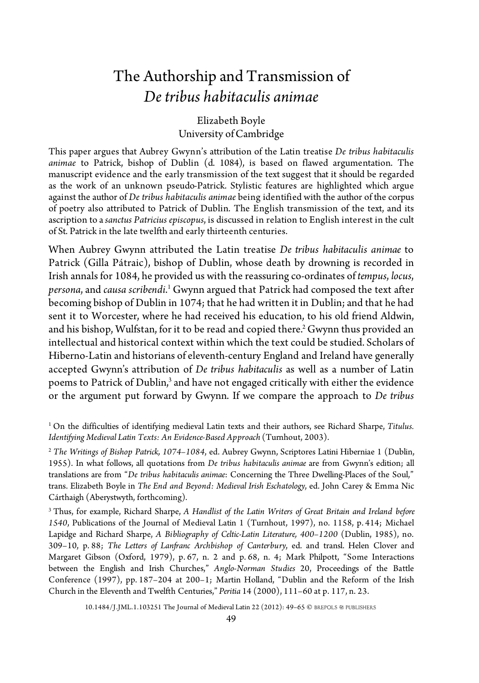# The Authorship and Transmission of *De tribus habitaculis animae*

## Elizabeth Boyle University of Cambridge

This paper argues that Aubrey Gwynn's attribution of the Latin treatise *De tribus habitaculis animae* to Patrick, bishop of Dublin (d. 1084), is based on flawed argumentation. The manuscript evidence and the early transmission of the text suggest that it should be regarded as the work of an unknown pseudo-Patrick. Stylistic features are highlighted which argue against the author of *De tribus habitaculis animae* being identified with the author of the corpus of poetry also attributed to Patrick of Dublin. The English transmission of the text, and its ascription to a *sanctus Patricius episcopus*, is discussed in relation to English interest in the cult of St. Patrick in the late twelfth and early thirteenth centuries.

When Aubrey Gwynn attributed the Latin treatise *De tribus habitaculis animae* to Patrick (Gilla Pátraic), bishop of Dublin, whose death by drowning is recorded in Irish annals for 1084, he provided us with the reassuring co-ordinates of *tempus*, *locus*, *persona*, and *causa scribendi*. 1 Gwynn argued that Patrick had composed the text after becoming bishop of Dublin in 1074; that he had written it in Dublin; and that he had sent it to Worcester, where he had received his education, to his old friend Aldwin, and his bishop, Wulfstan, for it to be read and copied there.<sup>2</sup> Gwynn thus provided an intellectual and historical context within which the text could be studied. Scholars of Hiberno-Latin and historians of eleventh-century England and Ireland have generally accepted Gwynn's attribution of *De tribus habitaculis* as well as a number of Latin poems to Patrick of Dublin,<sup>3</sup> and have not engaged critically with either the evidence or the argument put forward by Gwynn. If we compare the approach to *De tribus* 

3 Thus, for example, Richard Sharpe, *A Handlist of the Latin Writers of Great Britain and Ireland before 1540*, Publications of the Journal of Medieval Latin 1 (Turnhout, 1997), no. 1158, p. 414; Michael Lapidge and Richard Sharpe, *A Bibliography of Celtic-Latin Literature, 400–1200* (Dublin, 1985), no. 309–10, p. 88; *The Letters of Lanfranc Archbishop of Canterbury*, ed. and transl. Helen Clover and Margaret Gibson (Oxford, 1979), p. 67, n. 2 and p. 68, n. 4; Mark Philpott, "Some Interactions between the English and Irish Churches," *Anglo-Norman Studies* 20, Proceedings of the Battle Conference (1997), pp. 187–204 at 200–1; Martin Holland, "Dublin and the Reform of the Irish Church in the Eleventh and Twelfth Centuries," *Peritia* 14 (2000), 111–60 at p. 117, n. 23.

<sup>1</sup> On the difficulties of identifying medieval Latin texts and their authors, see Richard Sharpe, *Titulus. Identifying Medieval Latin Texts: An Evidence-Based Approach* (Turnhout, 2003).

<sup>2</sup> *The Writings of Bishop Patrick, 1074–1084*, ed. Aubrey Gwynn, Scriptores Latini Hiberniae 1 (Dublin, 1955). In what follows, all quotations from *De tribus habitaculis animae* are from Gwynn's edition; all translations are from "*De tribus habitaculis animae*: Concerning the Three Dwelling-Places of the Soul," trans. Elizabeth Boyle in *The End and Beyond: Medieval Irish Eschatology*, ed. John Carey & Emma Nic Cárthaigh (Aberystwyth, forthcoming).

<sup>10.1484/</sup>J.JML.1.103251 The Journal of Medieval Latin 22 (2012): 49-65 © BREPOLS ® PUBLISHERS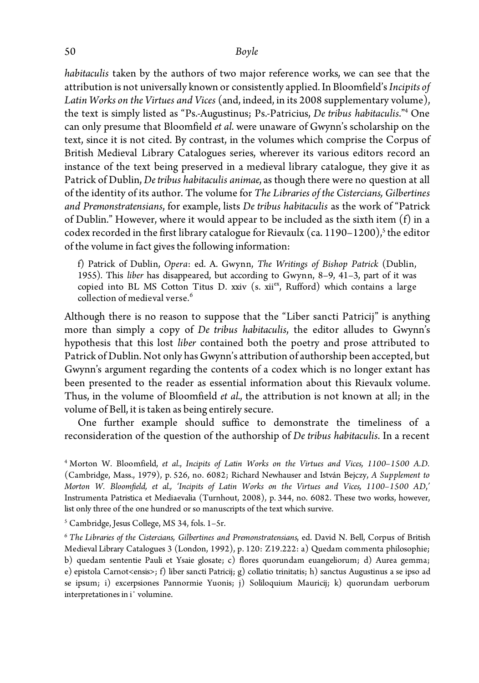*habitaculis* taken by the authors of two major reference works, we can see that the attribution is not universally known or consistently applied. In Bloomfield's *Incipits of Latin Works on the Virtues and Vices* (and, indeed, in its 2008 supplementary volume), the text is simply listed as "Ps.-Augustinus; Ps.-Patricius, *De tribus habitaculis*."<sup>4</sup> One can only presume that Bloomfield *et al*. were unaware of Gwynn's scholarship on the text, since it is not cited. By contrast, in the volumes which comprise the Corpus of British Medieval Library Catalogues series, wherever its various editors record an instance of the text being preserved in a medieval library catalogue, they give it as Patrick of Dublin, *De tribus habitaculis animae*, as though there were no question at all of the identity of its author. The volume for *The Libraries of the Cistercians, Gilbertines and Premonstratensians*, for example, lists *De tribus habitaculis* as the work of "Patrick of Dublin." However, where it would appear to be included as the sixth item (f) in a codex recorded in the first library catalogue for Rievaulx (ca.  $1190-1200$ ),<sup>5</sup> the editor of the volume in fact gives the following information:

f) Patrick of Dublin, *Opera*: ed. A. Gwynn, *The Writings of Bishop Patrick* (Dublin, 1955). This *liber* has disappeared, but according to Gwynn, 8–9, 41–3, part of it was copied into BL MS Cotton Titus D. xxiv (s. xiiex, Rufford) which contains a large collection of medieval verse.<sup>6</sup>

Although there is no reason to suppose that the "Liber sancti Patricij" is anything more than simply a copy of *De tribus habitaculis*, the editor alludes to Gwynn's hypothesis that this lost *liber* contained both the poetry and prose attributed to Patrick of Dublin. Not only has Gwynn's attribution of authorship been accepted, but Gwynn's argument regarding the contents of a codex which is no longer extant has been presented to the reader as essential information about this Rievaulx volume. Thus, in the volume of Bloomfield *et al*., the attribution is not known at all; in the volume of Bell, it is taken as being entirely secure.

 One further example should suffice to demonstrate the timeliness of a reconsideration of the question of the authorship of *De tribus habitaculis*. In a recent

4 Morton W. Bloomfield, *et al*., *Incipits of Latin Works on the Virtues and Vices, 1100–1500 A.D.* (Cambridge, Mass., 1979), p. 526, no. 6082; Richard Newhauser and István Bejczy, *A Supplement to Morton W. Bloomfield, et al., 'Incipits of Latin Works on the Virtues and Vices, 1100–1500 AD*,*'* Instrumenta Patristica et Mediaevalia (Turnhout, 2008), p. 344, no. 6082. These two works, however, list only three of the one hundred or so manuscripts of the text which survive.

5 Cambridge, Jesus College, MS 34, fols. 1–5r.

<sup>6</sup> *The Libraries of the Cistercians, Gilbertines and Premonstratensians*, ed. David N. Bell, Corpus of British Medieval Library Catalogues 3 (London, 1992), p. 120: Z19.222: a) Quedam commenta philosophie; b) quedam sententie Pauli et Ysaie glosate; c) flores quorundam euangeliorum; d) Aurea gemma; e) epistola Carnot<ensis>; f) liber sancti Patricij; g) collatio trinitatis; h) sanctus Augustinus a se ipso ad se ipsum; i) excerpsiones Pannormie Yuonis; j) Soliloquium Mauricij; k) quorundam uerborum interpretationes in i˚ volumine.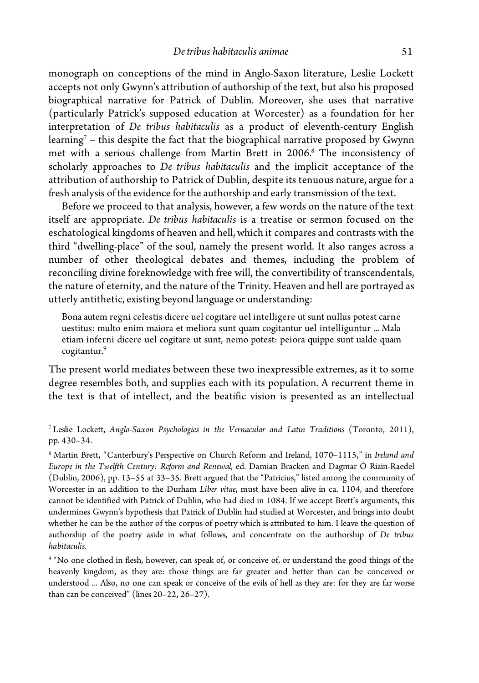monograph on conceptions of the mind in Anglo-Saxon literature, Leslie Lockett accepts not only Gwynn's attribution of authorship of the text, but also his proposed biographical narrative for Patrick of Dublin. Moreover, she uses that narrative (particularly Patrick's supposed education at Worcester) as a foundation for her interpretation of *De tribus habitaculis* as a product of eleventh-century English learning<sup>7</sup> – this despite the fact that the biographical narrative proposed by Gwynn met with a serious challenge from Martin Brett in 2006.<sup>8</sup> The inconsistency of scholarly approaches to *De tribus habitaculis* and the implicit acceptance of the attribution of authorship to Patrick of Dublin, despite its tenuous nature, argue for a fresh analysis of the evidence for the authorship and early transmission of the text.

 Before we proceed to that analysis, however, a few words on the nature of the text itself are appropriate. *De tribus habitaculis* is a treatise or sermon focused on the eschatological kingdoms of heaven and hell, which it compares and contrasts with the third "dwelling-place" of the soul, namely the present world. It also ranges across a number of other theological debates and themes, including the problem of reconciling divine foreknowledge with free will, the convertibility of transcendentals, the nature of eternity, and the nature of the Trinity. Heaven and hell are portrayed as utterly antithetic, existing beyond language or understanding:

Bona autem regni celestis dicere uel cogitare uel intelligere ut sunt nullus potest carne uestitus: multo enim maiora et meliora sunt quam cogitantur uel intelliguntur ... Mala etiam inferni dicere uel cogitare ut sunt, nemo potest: peiora quippe sunt ualde quam cogitantur.<sup>9</sup>  $\overline{a}$ 

The present world mediates between these two inexpressible extremes, as it to some degree resembles both, and supplies each with its population. A recurrent theme in the text is that of intellect, and the beatific vision is presented as an intellectual

7 Leslie Lockett, *Anglo-Saxon Psychologies in the Vernacular and Latin Traditions* (Toronto, 2011), pp. 430–34.

8 Martin Brett, "Canterbury's Perspective on Church Reform and Ireland, 1070–1115," in *Ireland and Europe in the Twelfth Century: Reform and Renewal*, ed. Damian Bracken and Dagmar Ó Riain-Raedel (Dublin, 2006), pp. 13–55 at 33–35. Brett argued that the "Patricius," listed among the community of Worcester in an addition to the Durham *Liber vitae*, must have been alive in ca. 1104, and therefore cannot be identified with Patrick of Dublin, who had died in 1084. If we accept Brett's arguments, this undermines Gwynn's hypothesis that Patrick of Dublin had studied at Worcester, and brings into doubt whether he can be the author of the corpus of poetry which is attributed to him. I leave the question of authorship of the poetry aside in what follows, and concentrate on the authorship of *De tribus habitaculis*.

<sup>9</sup> "No one clothed in flesh, however, can speak of, or conceive of, or understand the good things of the heavenly kingdom, as they are: those things are far greater and better than can be conceived or understood ... Also, no one can speak or conceive of the evils of hell as they are: for they are far worse than can be conceived" (lines 20–22, 26–27).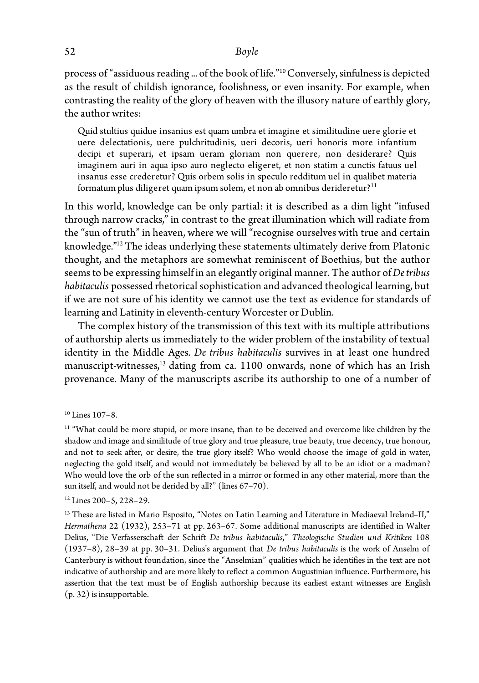process of "assiduous reading ... of the book of life."<sup>10</sup> Conversely, sinfulness is depicted as the result of childish ignorance, foolishness, or even insanity. For example, when contrasting the reality of the glory of heaven with the illusory nature of earthly glory, the author writes:

Quid stultius quidue insanius est quam umbra et imagine et similitudine uere glorie et uere delectationis, uere pulchritudinis, ueri decoris, ueri honoris more infantium decipi et superari, et ipsam ueram gloriam non querere, non desiderare? Quis imaginem auri in aqua ipso auro neglecto eligeret, et non statim a cunctis fatuus uel insanus esse crederetur? Quis orbem solis in speculo redditum uel in qualibet materia formatum plus diligeret quam ipsum solem, et non ab omnibus derideretur? $^{11}$ 

In this world, knowledge can be only partial: it is described as a dim light "infused through narrow cracks," in contrast to the great illumination which will radiate from the "sun of truth" in heaven, where we will "recognise ourselves with true and certain knowledge."<sup>12</sup> The ideas underlying these statements ultimately derive from Platonic thought, and the metaphors are somewhat reminiscent of Boethius, but the author seems to be expressing himself in an elegantly original manner. The author of *De tribus habitaculis* possessed rhetorical sophistication and advanced theological learning, but if we are not sure of his identity we cannot use the text as evidence for standards of learning and Latinity in eleventh-century Worcester or Dublin.

 The complex history of the transmission of this text with its multiple attributions of authorship alerts us immediately to the wider problem of the instability of textual identity in the Middle Ages. *De tribus habitaculis* survives in at least one hundred manuscript-witnesses,<sup>13</sup> dating from ca. 1100 onwards, none of which has an Irish provenance. Many of the manuscripts ascribe its authorship to one of a number of

<sup>10</sup> Lines 107–8.

<sup>&</sup>lt;sup>11</sup> "What could be more stupid, or more insane, than to be deceived and overcome like children by the shadow and image and similitude of true glory and true pleasure, true beauty, true decency, true honour, and not to seek after, or desire, the true glory itself? Who would choose the image of gold in water, neglecting the gold itself, and would not immediately be believed by all to be an idiot or a madman? Who would love the orb of the sun reflected in a mirror or formed in any other material, more than the sun itself, and would not be derided by all?" (lines 67–70).

<sup>12</sup> Lines 200–5, 228–29.

<sup>&</sup>lt;sup>13</sup> These are listed in Mario Esposito, "Notes on Latin Learning and Literature in Mediaeval Ireland–II," *Hermathena* 22 (1932), 253–71 at pp. 263–67. Some additional manuscripts are identified in Walter Delius, "Die Verfasserschaft der Schrift *De tribus habitaculis*," *Theologische Studien und Kritiken* 108 (1937–8), 28–39 at pp. 30–31. Delius's argument that *De tribus habitaculis* is the work of Anselm of Canterbury is without foundation, since the "Anselmian" qualities which he identifies in the text are not indicative of authorship and are more likely to reflect a common Augustinian influence. Furthermore, his assertion that the text must be of English authorship because its earliest extant witnesses are English (p. 32) is insupportable.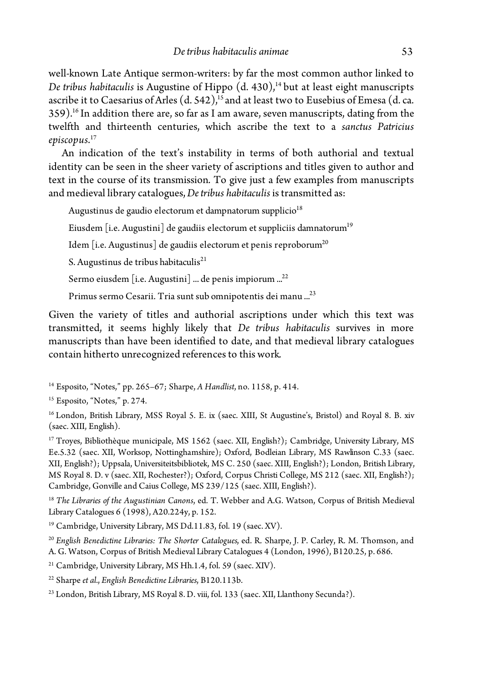well-known Late Antique sermon-writers: by far the most common author linked to *De tribus habitaculis* is Augustine of Hippo (d. 430),<sup>14</sup> but at least eight manuscripts ascribe it to Caesarius of Arles  $(d. 542)^{15}$  and at least two to Eusebius of Emesa  $(d. ca.$  $359$ .<sup>16</sup> In addition there are, so far as I am aware, seven manuscripts, dating from the twelfth and thirteenth centuries, which ascribe the text to a *sanctus Patricius episcopus*. 17

 An indication of the text's instability in terms of both authorial and textual identity can be seen in the sheer variety of ascriptions and titles given to author and text in the course of its transmission. To give just a few examples from manuscripts and medieval library catalogues, *De tribus habitaculis* is transmitted as:

Augustinus de gaudio electorum et dampnatorum supplicio<sup>18</sup>

Eiusdem [i.e. Augustini] de gaudiis electorum et suppliciis damnatorum $^{19}$ 

Idem [i.e. Augustinus] de gaudiis electorum et penis reproborum<sup>20</sup>

S. Augustinus de tribus habitaculis $^{21}$ 

Sermo eiusdem [i.e. Augustini] ... de penis impiorum ...<sup>22</sup>

Primus sermo Cesarii. Tria sunt sub omnipotentis dei manu ...<sup>23</sup>

Given the variety of titles and authorial ascriptions under which this text was transmitted, it seems highly likely that *De tribus habitaculis* survives in more manuscripts than have been identified to date, and that medieval library catalogues contain hitherto unrecognized references to this work.

<sup>14</sup> Esposito, "Notes," pp. 265–67; Sharpe, *A Handlist*, no. 1158, p. 414.

<sup>16</sup> London, British Library, MSS Royal 5. E. ix (saec. XIII, St Augustine's, Bristol) and Royal 8. B. xiv (saec. XIII, English).

<sup>17</sup> Troyes, Bibliothèque municipale, MS 1562 (saec. XII, English?); Cambridge, University Library, MS Ee.5.32 (saec. XII, Worksop, Nottinghamshire); Oxford, Bodleian Library, MS Rawlinson C.33 (saec. XII, English?); Uppsala, Universiteitsbibliotek, MS C. 250 (saec. XIII, English?); London, British Library, MS Royal 8. D. v (saec. XII, Rochester?); Oxford, Corpus Christi College, MS 212 (saec. XII, English?); Cambridge, Gonville and Caius College, MS 239/125 (saec. XIII, English?).

<sup>18</sup> *The Libraries of the Augustinian Canons*, ed. T. Webber and A.G. Watson, Corpus of British Medieval Library Catalogues 6 (1998), A20.224y, p. 152.

<sup>19</sup> Cambridge, University Library, MS Dd.11.83, fol. 19 (saec. XV).

<sup>20</sup> *English Benedictine Libraries: The Shorter Catalogues*, ed. R. Sharpe, J. P. Carley, R. M. Thomson, and A. G. Watson, Corpus of British Medieval Library Catalogues 4 (London, 1996), B120.25, p. 686.

<sup>21</sup> Cambridge, University Library, MS Hh.1.4, fol. 59 (saec. XIV).

<sup>22</sup> Sharpe *et al*., *English Benedictine Libraries*, B120.113b.

23 London, British Library, MS Royal 8. D. viii, fol. 133 (saec. XII, Llanthony Secunda?).

<sup>15</sup> Esposito, "Notes," p. 274.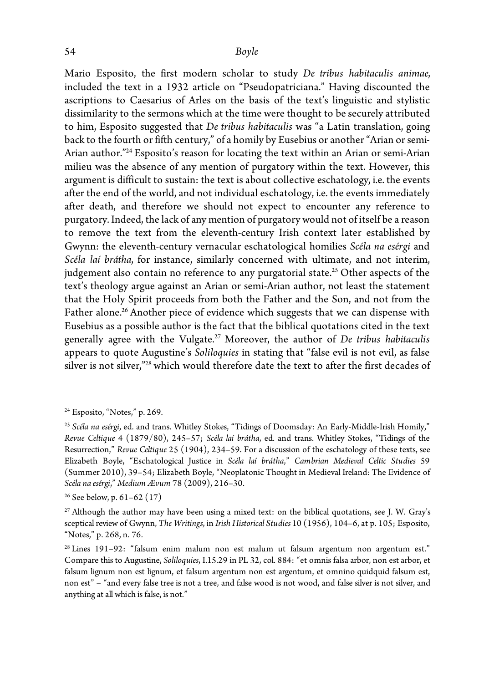Mario Esposito, the first modern scholar to study *De tribus habitaculis animae*, included the text in a 1932 article on "Pseudopatriciana." Having discounted the ascriptions to Caesarius of Arles on the basis of the text's linguistic and stylistic dissimilarity to the sermons which at the time were thought to be securely attributed to him, Esposito suggested that *De tribus habitaculis* was "a Latin translation, going back to the fourth or fifth century," of a homily by Eusebius or another "Arian or semi-Arian author."<sup>24</sup> Esposito's reason for locating the text within an Arian or semi-Arian milieu was the absence of any mention of purgatory within the text. However, this argument is difficult to sustain: the text is about collective eschatology, i.e. the events after the end of the world, and not individual eschatology, i.e. the events immediately after death, and therefore we should not expect to encounter any reference to purgatory. Indeed, the lack of any mention of purgatory would not of itself be a reason to remove the text from the eleventh-century Irish context later established by Gwynn: the eleventh-century vernacular eschatological homilies *Scéla na esérgi* and *Scéla laí brátha*, for instance, similarly concerned with ultimate, and not interim, judgement also contain no reference to any purgatorial state.<sup>25</sup> Other aspects of the text's theology argue against an Arian or semi-Arian author, not least the statement that the Holy Spirit proceeds from both the Father and the Son, and not from the Father alone.<sup>26</sup> Another piece of evidence which suggests that we can dispense with Eusebius as a possible author is the fact that the biblical quotations cited in the text generally agree with the Vulgate.<sup>27</sup> Moreover, the author of *De tribus habitaculis* appears to quote Augustine's *Soliloquies* in stating that "false evil is not evil, as false silver is not silver,"<sup>28</sup> which would therefore date the text to after the first decades of

<sup>26</sup> See below, p. 61–62 (17)

<sup>27</sup> Although the author may have been using a mixed text: on the biblical quotations, see J. W. Gray's sceptical review of Gwynn, *The Writings*, in *Irish Historical Studies* 10 (1956), 104–6, at p. 105; Esposito, "Notes," p. 268, n. 76.

<sup>28</sup> Lines 191–92: "falsum enim malum non est malum ut falsum argentum non argentum est." Compare this to Augustine, *Soliloquies*, I.15.29 in PL 32, col. 884: "et omnis falsa arbor, non est arbor, et falsum lignum non est lignum, et falsum argentum non est argentum, et omnino quidquid falsum est, non est" – "and every false tree is not a tree, and false wood is not wood, and false silver is not silver, and anything at all which is false, is not."

 $24$  Esposito, "Notes," p. 269.

<sup>25</sup> *Scéla na esérgi*, ed. and trans. Whitley Stokes, "Tidings of Doomsday: An Early-Middle-Irish Homily," *Revue Celtique* 4 (1879/80), 245–57; *Scéla laí brátha*, ed. and trans. Whitley Stokes, "Tidings of the Resurrection," *Revue Celtique* 25 (1904), 234–59. For a discussion of the eschatology of these texts, see Elizabeth Boyle, "Eschatological Justice in *Scéla laí brátha*," *Cambrian Medieval Celtic Studies* 59 (Summer 2010), 39–54; Elizabeth Boyle, "Neoplatonic Thought in Medieval Ireland: The Evidence of *Scéla na esérgi*," *Medium Ævum* 78 (2009), 216–30.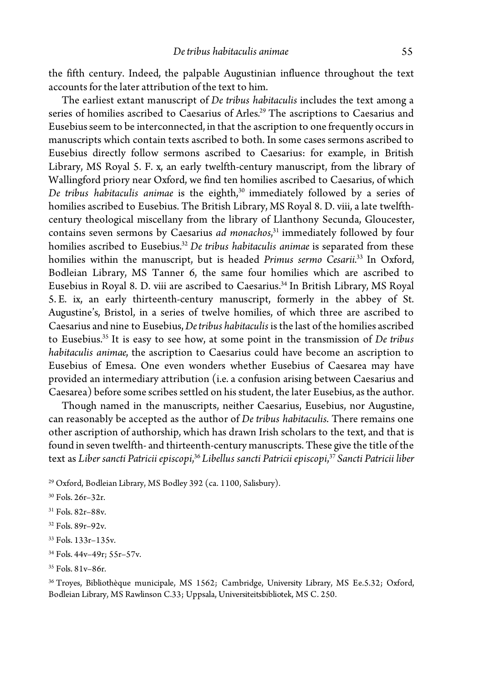the fifth century. Indeed, the palpable Augustinian influence throughout the text accounts for the later attribution of the text to him.

 The earliest extant manuscript of *De tribus habitaculis* includes the text among a series of homilies ascribed to Caesarius of Arles.<sup>29</sup> The ascriptions to Caesarius and Eusebius seem to be interconnected, in that the ascription to one frequently occurs in manuscripts which contain texts ascribed to both. In some cases sermons ascribed to Eusebius directly follow sermons ascribed to Caesarius: for example, in British Library, MS Royal 5. F. x, an early twelfth-century manuscript, from the library of Wallingford priory near Oxford, we find ten homilies ascribed to Caesarius, of which *De tribus habitaculis animae* is the eighth,<sup>30</sup> immediately followed by a series of homilies ascribed to Eusebius. The British Library, MS Royal 8. D. viii, a late twelfthcentury theological miscellany from the library of Llanthony Secunda, Gloucester, contains seven sermons by Caesarius *ad monachos*, <sup>31</sup> immediately followed by four homilies ascribed to Eusebius.<sup>32</sup> *De tribus habitaculis animae* is separated from these homilies within the manuscript, but is headed *Primus sermo Cesarii*. <sup>33</sup> In Oxford, Bodleian Library, MS Tanner 6, the same four homilies which are ascribed to Eusebius in Royal 8. D. viii are ascribed to Caesarius.<sup>34</sup> In British Library, MS Royal 5. E. ix, an early thirteenth-century manuscript, formerly in the abbey of St. Augustine's, Bristol, in a series of twelve homilies, of which three are ascribed to Caesarius and nine to Eusebius, *De tribus habitaculis* is the last of the homilies ascribed to Eusebius.<sup>35</sup> It is easy to see how, at some point in the transmission of *De tribus habitaculis animae*, the ascription to Caesarius could have become an ascription to Eusebius of Emesa. One even wonders whether Eusebius of Caesarea may have provided an intermediary attribution (i.e. a confusion arising between Caesarius and Caesarea) before some scribes settled on his student, the later Eusebius, as the author.

 Though named in the manuscripts, neither Caesarius, Eusebius, nor Augustine, can reasonably be accepted as the author of *De tribus habitaculis*. There remains one other ascription of authorship, which has drawn Irish scholars to the text, and that is found in seven twelfth- and thirteenth-century manuscripts. These give the title of the text as Liber sancti Patricii episcopi,<sup>36</sup> Libellus sancti Patricii episcopi,<sup>37</sup> Sancti Patricii liber

<sup>36</sup> Troyes, Bibliothèque municipale, MS 1562; Cambridge, University Library, MS Ee.5.32; Oxford, Bodleian Library, MS Rawlinson C.33; Uppsala, Universiteitsbibliotek, MS C. 250.

<sup>29</sup> Oxford, Bodleian Library, MS Bodley 392 (ca. 1100, Salisbury).

<sup>30</sup> Fols. 26r–32r.

<sup>31</sup> Fols. 82r–88v.

<sup>32</sup> Fols. 89r–92v.

<sup>33</sup> Fols. 133r–135v.

<sup>34</sup> Fols. 44v–49r; 55r–57v.

<sup>35</sup> Fols. 81v–86r.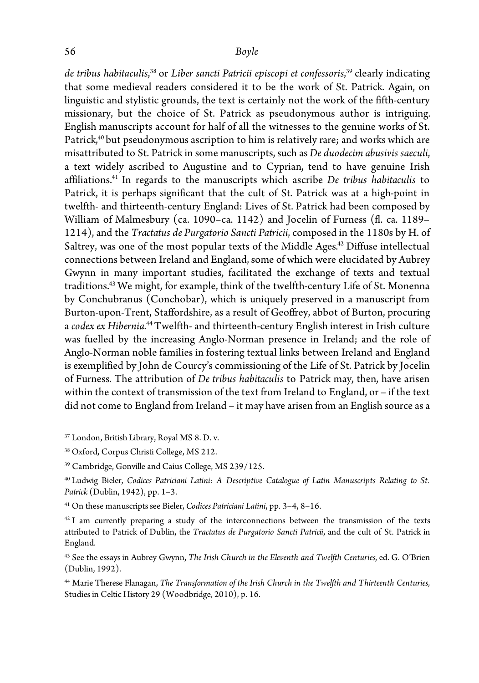*de tribus habitaculis*, <sup>38</sup> or *Liber sancti Patricii episcopi et confessoris*, <sup>39</sup> clearly indicating that some medieval readers considered it to be the work of St. Patrick. Again, on linguistic and stylistic grounds, the text is certainly not the work of the fifth-century missionary, but the choice of St. Patrick as pseudonymous author is intriguing. English manuscripts account for half of all the witnesses to the genuine works of St. Patrick,<sup>40</sup> but pseudonymous ascription to him is relatively rare; and works which are misattributed to St. Patrick in some manuscripts, such as *De duodecim abusivis saeculi*, a text widely ascribed to Augustine and to Cyprian, tend to have genuine Irish affiliations.<sup>41</sup> In regards to the manuscripts which ascribe *De tribus habitaculis* to Patrick, it is perhaps significant that the cult of St. Patrick was at a high-point in twelfth- and thirteenth-century England: Lives of St. Patrick had been composed by William of Malmesbury (ca. 1090–ca. 1142) and Jocelin of Furness (fl. ca. 1189– 1214), and the *Tractatus de Purgatorio Sancti Patricii*, composed in the 1180s by H. of Saltrey, was one of the most popular texts of the Middle Ages.<sup>42</sup> Diffuse intellectual connections between Ireland and England, some of which were elucidated by Aubrey Gwynn in many important studies, facilitated the exchange of texts and textual traditions.<sup>43</sup> We might, for example, think of the twelfth-century Life of St. Monenna by Conchubranus (Conchobar), which is uniquely preserved in a manuscript from Burton-upon-Trent, Staffordshire, as a result of Geoffrey, abbot of Burton, procuring a *codex ex Hibernia*. <sup>44</sup> Twelfth- and thirteenth-century English interest in Irish culture was fuelled by the increasing Anglo-Norman presence in Ireland; and the role of Anglo-Norman noble families in fostering textual links between Ireland and England is exemplified by John de Courcy's commissioning of the Life of St. Patrick by Jocelin of Furness. The attribution of *De tribus habitaculis* to Patrick may, then, have arisen within the context of transmission of the text from Ireland to England, or – if the text did not come to England from Ireland – it may have arisen from an English source as a

<sup>37</sup> London, British Library, Royal MS 8. D. v.

<sup>38</sup> Oxford, Corpus Christi College, MS 212.

<sup>39</sup> Cambridge, Gonville and Caius College, MS 239/125.

<sup>40</sup> Ludwig Bieler, *Codices Patriciani Latini: A Descriptive Catalogue of Latin Manuscripts Relating to St. Patrick* (Dublin, 1942), pp. 1–3.

<sup>41</sup> On these manuscripts see Bieler, *Codices Patriciani Latini*, pp. 3–4, 8–16.

 $42$  I am currently preparing a study of the interconnections between the transmission of the texts attributed to Patrick of Dublin, the *Tractatus de Purgatorio Sancti Patricii*, and the cult of St. Patrick in England.

<sup>43</sup> See the essays in Aubrey Gwynn, *The Irish Church in the Eleventh and Twelfth Centuries*, ed. G. O'Brien (Dublin, 1992).

<sup>44</sup> Marie Therese Flanagan, *The Transformation of the Irish Church in the Twelfth and Thirteenth Centuries*, Studies in Celtic History 29 (Woodbridge, 2010), p. 16.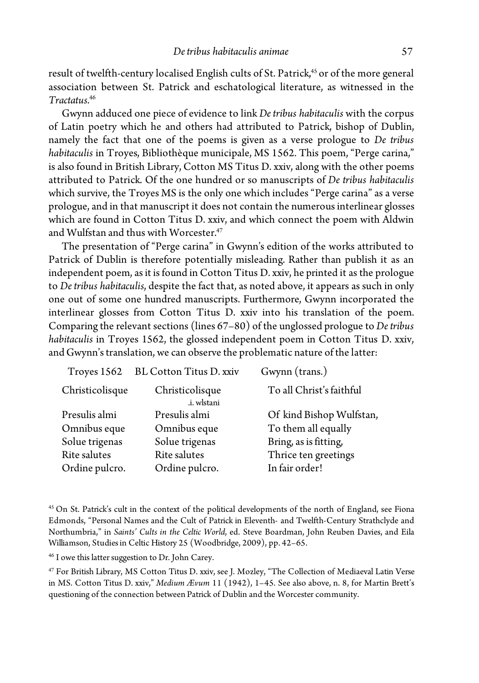result of twelfth-century localised English cults of St. Patrick,<sup>45</sup> or of the more general association between St. Patrick and eschatological literature, as witnessed in the *Tractatus*. 46

 Gwynn adduced one piece of evidence to link *De tribus habitaculis* with the corpus of Latin poetry which he and others had attributed to Patrick, bishop of Dublin, namely the fact that one of the poems is given as a verse prologue to *De tribus habitaculis* in Troyes, Bibliothèque municipale, MS 1562. This poem, "Perge carina," is also found in British Library, Cotton MS Titus D. xxiv, along with the other poems attributed to Patrick. Of the one hundred or so manuscripts of *De tribus habitaculis* which survive, the Troyes MS is the only one which includes "Perge carina" as a verse prologue, and in that manuscript it does not contain the numerous interlinear glosses which are found in Cotton Titus D. xxiv, and which connect the poem with Aldwin and Wulfstan and thus with Worcester.<sup>47</sup>

 The presentation of "Perge carina" in Gwynn's edition of the works attributed to Patrick of Dublin is therefore potentially misleading. Rather than publish it as an independent poem, as it is found in Cotton Titus D. xxiv, he printed it as the prologue to *De tribus habitaculis*, despite the fact that, as noted above, it appears as such in only one out of some one hundred manuscripts. Furthermore, Gwynn incorporated the interlinear glosses from Cotton Titus D. xxiv into his translation of the poem. Comparing the relevant sections (lines 67–80) of the unglossed prologue to *De tribus habitaculis* in Troyes 1562, the glossed independent poem in Cotton Titus D. xxiv, and Gwynn's translation, we can observe the problematic nature of the latter:

| BL Cotton Titus D. xxiv        | Gwynn (trans.)           |
|--------------------------------|--------------------------|
| Christicolisque<br>.i. wlstani | To all Christ's faithful |
| Presulis almi                  | Of kind Bishop Wulfstan, |
| Omnibus eque                   | To them all equally      |
| Solue trigenas                 | Bring, as is fitting,    |
| Rite salutes                   | Thrice ten greetings     |
| Ordine pulcro.                 | In fair order!           |
|                                |                          |

<sup>45</sup> On St. Patrick's cult in the context of the political developments of the north of England, see Fiona Edmonds, "Personal Names and the Cult of Patrick in Eleventh- and Twelfth-Century Strathclyde and Northumbria," in *Saints' Cults in the Celtic World*, ed. Steve Boardman, John Reuben Davies, and Eila Williamson, Studies in Celtic History 25 (Woodbridge, 2009), pp. 42–65.

<sup>46</sup> I owe this latter suggestion to Dr. John Carey.

<sup>47</sup> For British Library, MS Cotton Titus D. xxiv, see J. Mozley, "The Collection of Mediaeval Latin Verse in MS. Cotton Titus D. xxiv," *Medium Ævum* 11 (1942), 1–45. See also above, n. 8, for Martin Brett's questioning of the connection between Patrick of Dublin and the Worcester community.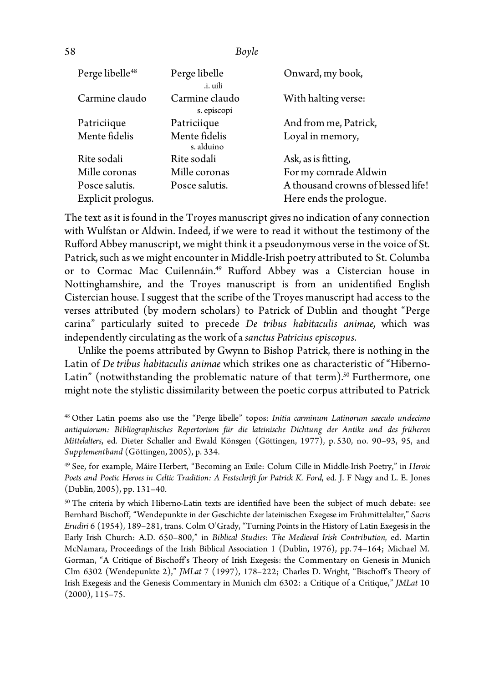| Perge libelle <sup>48</sup>          | Perge libelle<br>.i. uili     | Onward, my book,                                              |
|--------------------------------------|-------------------------------|---------------------------------------------------------------|
| Carmine claudo                       | Carmine claudo<br>s. episcopi | With halting verse:                                           |
| Patriciique                          | Patriciique                   | And from me, Patrick,                                         |
| Mente fidelis                        | Mente fidelis<br>s. alduino   | Loyal in memory,                                              |
| Rite sodali                          | Rite sodali                   | Ask, as is fitting,                                           |
| Mille coronas                        | Mille coronas                 | For my comrade Aldwin                                         |
| Posce salutis.<br>Explicit prologus. | Posce salutis.                | A thousand crowns of blessed life!<br>Here ends the prologue. |
|                                      |                               |                                                               |

The text as it is found in the Troyes manuscript gives no indication of any connection with Wulfstan or Aldwin. Indeed, if we were to read it without the testimony of the Rufford Abbey manuscript, we might think it a pseudonymous verse in the voice of St. Patrick, such as we might encounter in Middle-Irish poetry attributed to St. Columba or to Cormac Mac Cuilennáin.<sup>49</sup> Rufford Abbey was a Cistercian house in Nottinghamshire, and the Troyes manuscript is from an unidentified English Cistercian house. I suggest that the scribe of the Troyes manuscript had access to the verses attributed (by modern scholars) to Patrick of Dublin and thought "Perge carina" particularly suited to precede *De tribus habitaculis animae*, which was independently circulating as the work of a *sanctus Patricius episcopus*.

 Unlike the poems attributed by Gwynn to Bishop Patrick, there is nothing in the Latin of *De tribus habitaculis animae* which strikes one as characteristic of "Hiberno-Latin" (notwithstanding the problematic nature of that term).<sup>50</sup> Furthermore, one might note the stylistic dissimilarity between the poetic corpus attributed to Patrick

<sup>48</sup> Other Latin poems also use the "Perge libelle" topos: *Initia carminum Latinorum saeculo undecimo antiquiorum: Bibliographisches Repertorium für die lateinische Dichtung der Antike und des früheren Mittelalters*, ed. Dieter Schaller and Ewald Könsgen (Göttingen, 1977), p. 530, no. 90–93, 95, and *Supplementband* (Göttingen, 2005), p. 334.

<sup>49</sup> See, for example, Máire Herbert, "Becoming an Exile: Colum Cille in Middle-Irish Poetry," in *Heroic Poets and Poetic Heroes in Celtic Tradition: A Festschrift for Patrick K. Ford*, ed. J. F Nagy and L. E. Jones (Dublin, 2005), pp. 131–40.

<sup>50</sup> The criteria by which Hiberno-Latin texts are identified have been the subject of much debate: see Bernhard Bischoff, "Wendepunkte in der Geschichte der lateinischen Exegese im Frühmittelalter," *Sacris Erudiri* 6 (1954), 189–281, trans. Colm O'Grady, "Turning Points in the History of Latin Exegesis in the Early Irish Church: A.D. 650–800," in *Biblical Studies: The Medieval Irish Contribution*, ed. Martin McNamara, Proceedings of the Irish Biblical Association 1 (Dublin, 1976), pp. 74–164; Michael M. Gorman, "A Critique of Bischoff's Theory of Irish Exegesis: the Commentary on Genesis in Munich Clm 6302 (Wendepunkte 2)," *JMLat* 7 (1997), 178–222; Charles D. Wright, "Bischoff's Theory of Irish Exegesis and the Genesis Commentary in Munich clm 6302: a Critique of a Critique," *JMLat* 10 (2000), 115–75.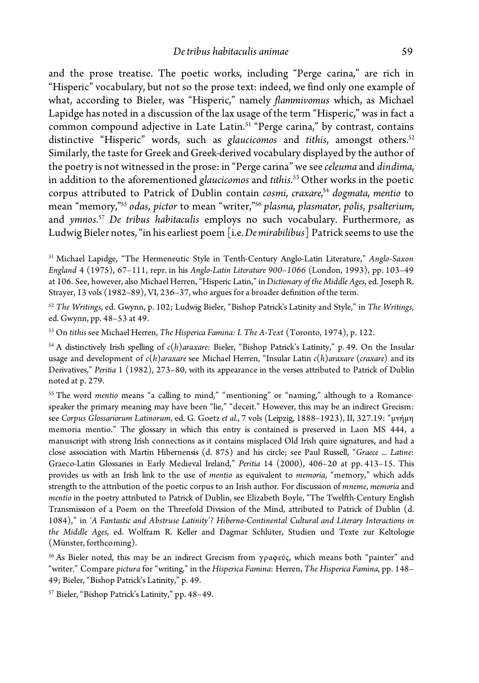and the prose treatise. The poetic works, including "Perge carina," are rich in "Hisperic" vocabulary, but not so the prose text: indeed, we find only one example of what, according to Bieler, was "Hisperic," namely *flammivomus* which, as Michael Lapidge has noted in a discussion of the lax usage of the term "Hisperic," was in fact a common compound adjective in Late Latin.<sup>51</sup> "Perge carina," by contrast, contains distinctive "Hisperic" words, such as *glaucicomos* and *tithis*, amongst others.<sup>52</sup> Similarly, the taste for Greek and Greek-derived vocabulary displayed by the author of the poetry is not witnessed in the prose: in "Perge carina" we see *celeuma* and *dindima*, in addition to the aforementioned *glaucicomos* and *tithis*. <sup>53</sup> Other works in the poetic corpus attributed to Patrick of Dublin contain *cosmi*, *craxare*, <sup>54</sup> *dogmata*, *mentio* to mean "memory,"<sup>55</sup> *odas*, *pictor* to mean "writer,"<sup>56</sup> *plasma*, *plasmator*, *polis*, *psalterium*, and *ymnos*. <sup>57</sup> *De tribus habitaculis* employs no such vocabulary. Furthermore, as Ludwig Bieler notes, "in his earliest poem [i.e. *De mirabilibus*] Patrick seems to use the

<sup>52</sup> *The Writings*, ed. Gwynn, p. 102; Ludwig Bieler, "Bishop Patrick's Latinity and Style," in *The Writings*, ed. Gwynn, pp. 48–53 at 49.

<sup>53</sup> On *tithis* see Michael Herren, *The Hisperica Famina: I. The A-Text* (Toronto, 1974), p. 122.

<sup>54</sup> A distinctively Irish spelling of *c*(*h*)*araxare*: Bieler, "Bishop Patrick's Latinity," p. 49. On the Insular usage and development of *c*(*h*)*araxare* see Michael Herren, "Insular Latin *c*(*h*)*araxare* (*craxare*) and its Derivatives," *Peritia* 1 (1982), 273–80, with its appearance in the verses attributed to Patrick of Dublin noted at p. 279.

<sup>55</sup> The word *mentio* means "a calling to mind," "mentioning" or "naming," although to a Romancespeaker the primary meaning may have been "lie," "deceit." However, this may be an indirect Grecism: see *Corpus Glossariorum Latinorum*, ed. G. Goetz *et al.*, 7 vols (Leipzig, 1888–1923), II, 327.19: "μνήμη memoria mentio." The glossary in which this entry is contained is preserved in Laon MS 444, a manuscript with strong Irish connections as it contains misplaced Old Irish quire signatures, and had a close association with Martin Hibernensis (d. 875) and his circle; see Paul Russell, "*Graece* ... *Latine*: Graeco-Latin Glossaries in Early Medieval Ireland," *Peritia* 14 (2000), 406–20 at pp. 413–15. This provides us with an Irish link to the use of *mentio* as equivalent to *memoria*, "memory," which adds strength to the attribution of the poetic corpus to an Irish author. For discussion of *mneme*, *memoria* and *mentio* in the poetry attributed to Patrick of Dublin, see Elizabeth Boyle, "The Twelfth-Century English Transmission of a Poem on the Threefold Division of the Mind, attributed to Patrick of Dublin (d. 1084)," in *'A Fantastic and Abstruse Latinity'? Hiberno-Continental Cultural and Literary Interactions in the Middle Ages*, ed. Wolfram R. Keller and Dagmar Schlüter, Studien und Texte zur Keltologie (Münster, forthcoming).

<sup>56</sup> As Bieler noted, this may be an indirect Grecism from γραφεύς, which means both "painter" and "writer." Compare *pictura* for "writing," in the *Hisperica Famina*: Herren, *The Hisperica Famina*, pp. 148– 49; Bieler, "Bishop Patrick's Latinity," p. 49.

57 Bieler, "Bishop Patrick's Latinity," pp. 48–49.

<sup>51</sup> Michael Lapidge, "The Hermeneutic Style in Tenth-Century Anglo-Latin Literature," *Anglo-Saxon England* 4 (1975), 67–111, repr. in his *Anglo-Latin Literature 900–1066* (London, 1993), pp. 103–49 at 106. See, however, also Michael Herren, "Hisperic Latin," in *Dictionary of the Middle Ages*, ed. Joseph R. Strayer, 13 vols (1982–89), VI, 236–37, who argues for a broader definition of the term.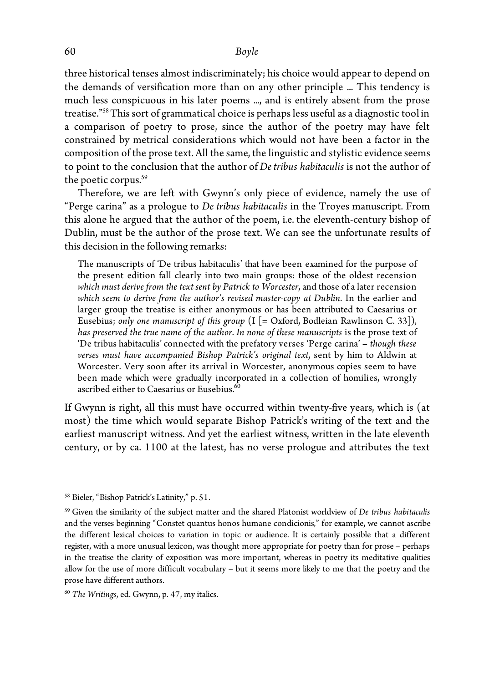three historical tenses almost indiscriminately; his choice would appear to depend on the demands of versification more than on any other principle ... This tendency is much less conspicuous in his later poems ..., and is entirely absent from the prose treatise."<sup>58</sup> This sort of grammatical choice is perhaps less useful as a diagnostic tool in a comparison of poetry to prose, since the author of the poetry may have felt constrained by metrical considerations which would not have been a factor in the composition of the prose text. All the same, the linguistic and stylistic evidence seems to point to the conclusion that the author of *De tribus habitaculis* is not the author of the poetic corpus.<sup>59</sup>

 Therefore, we are left with Gwynn's only piece of evidence, namely the use of "Perge carina" as a prologue to *De tribus habitaculis* in the Troyes manuscript. From this alone he argued that the author of the poem, i.e. the eleventh-century bishop of Dublin, must be the author of the prose text. We can see the unfortunate results of this decision in the following remarks:

The manuscripts of 'De tribus habitaculis' that have been examined for the purpose of the present edition fall clearly into two main groups: those of the oldest recension *which must derive from the text sent by Patrick to Worcester*, and those of a later recension *which seem to derive from the author's revised master-copy at Dublin*. In the earlier and larger group the treatise is either anonymous or has been attributed to Caesarius or Eusebius; *only one manuscript of this group* (I [= Oxford, Bodleian Rawlinson C. 33]), *has preserved the true name of the author*. *In none of these manuscripts* is the prose text of 'De tribus habitaculis' connected with the prefatory verses 'Perge carina' – *though these verses must have accompanied Bishop Patrick's original text*, sent by him to Aldwin at Worcester. Very soon after its arrival in Worcester, anonymous copies seem to have been made which were gradually incorporated in a collection of homilies, wrongly ascribed either to Caesarius or Eusebius.<sup>60</sup>

If Gwynn is right, all this must have occurred within twenty-five years, which is (at most) the time which would separate Bishop Patrick's writing of the text and the earliest manuscript witness. And yet the earliest witness, written in the late eleventh century, or by ca. 1100 at the latest, has no verse prologue and attributes the text

<sup>58</sup> Bieler, "Bishop Patrick's Latinity," p. 51.

<sup>59</sup> Given the similarity of the subject matter and the shared Platonist worldview of *De tribus habitaculis* and the verses beginning "Constet quantus honos humane condicionis," for example, we cannot ascribe the different lexical choices to variation in topic or audience. It is certainly possible that a different register, with a more unusual lexicon, was thought more appropriate for poetry than for prose – perhaps in the treatise the clarity of exposition was more important, whereas in poetry its meditative qualities allow for the use of more difficult vocabulary – but it seems more likely to me that the poetry and the prose have different authors.

<sup>60</sup> *The Writings*, ed. Gwynn, p. 47, my italics.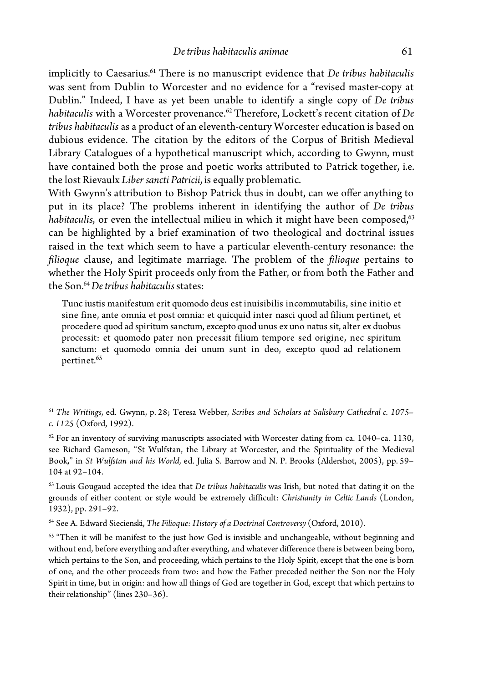implicitly to Caesarius.<sup>61</sup> There is no manuscript evidence that *De tribus habitaculis* was sent from Dublin to Worcester and no evidence for a "revised master-copy at Dublin." Indeed, I have as yet been unable to identify a single copy of *De tribus habitaculis* with a Worcester provenance.<sup>62</sup> Therefore, Lockett's recent citation of *De tribus habitaculis* as a product of an eleventh-century Worcester education is based on dubious evidence. The citation by the editors of the Corpus of British Medieval Library Catalogues of a hypothetical manuscript which, according to Gwynn, must have contained both the prose and poetic works attributed to Patrick together, i.e. the lost Rievaulx *Liber sancti Patricii*, is equally problematic.

With Gwynn's attribution to Bishop Patrick thus in doubt, can we offer anything to put in its place? The problems inherent in identifying the author of *De tribus habitaculis*, or even the intellectual milieu in which it might have been composed,<sup>63</sup> can be highlighted by a brief examination of two theological and doctrinal issues raised in the text which seem to have a particular eleventh-century resonance: the *filioque* clause, and legitimate marriage. The problem of the *filioque* pertains to whether the Holy Spirit proceeds only from the Father, or from both the Father and the Son.<sup>64</sup>*De tribus habitaculis* states:

Tunc iustis manifestum erit quomodo deus est inuisibilis incommutabilis, sine initio et sine fine, ante omnia et post omnia: et quicquid inter nasci quod ad filium pertinet, et procedere quod ad spiritum sanctum, excepto quod unus ex uno natus sit, alter ex duobus processit: et quomodo pater non precessit filium tempore sed origine, nec spiritum sanctum: et quomodo omnia dei unum sunt in deo, excepto quod ad relationem pertinet.<sup>65</sup>

<sup>61</sup> *The Writings*, ed. Gwynn, p. 28; Teresa Webber, *Scribes and Scholars at Salisbury Cathedral c. 1075– c. 1125* (Oxford, 1992).

 $62$  For an inventory of surviving manuscripts associated with Worcester dating from ca. 1040–ca. 1130, see Richard Gameson, "St Wulfstan, the Library at Worcester, and the Spirituality of the Medieval Book," in *St Wulfstan and his World*, ed. Julia S. Barrow and N. P. Brooks (Aldershot, 2005), pp. 59– 104 at 92–104.

<sup>63</sup> Louis Gougaud accepted the idea that *De tribus habitaculis* was Irish, but noted that dating it on the grounds of either content or style would be extremely difficult: *Christianity in Celtic Lands* (London, 1932), pp. 291–92.

<sup>64</sup> See A. Edward Siecienski, *The Filioque: History of a Doctrinal Controversy* (Oxford, 2010).

<sup>&</sup>lt;sup>65</sup> "Then it will be manifest to the just how God is invisible and unchangeable, without beginning and without end, before everything and after everything, and whatever difference there is between being born, which pertains to the Son, and proceeding, which pertains to the Holy Spirit, except that the one is born of one, and the other proceeds from two: and how the Father preceded neither the Son nor the Holy Spirit in time, but in origin: and how all things of God are together in God, except that which pertains to their relationship" (lines 230–36).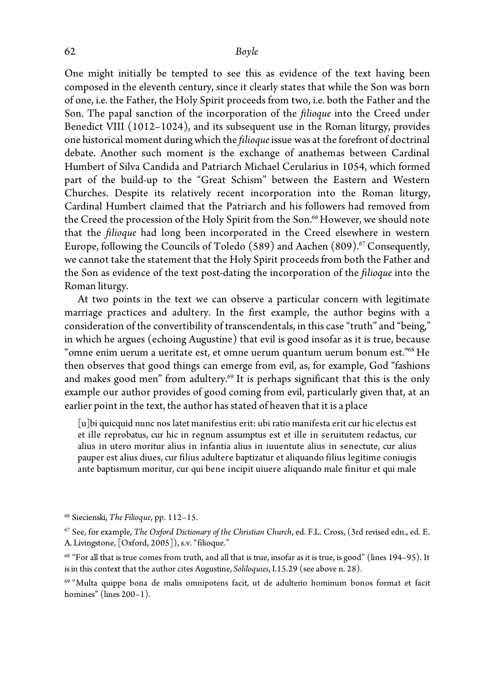One might initially be tempted to see this as evidence of the text having been composed in the eleventh century, since it clearly states that while the Son was born of one, i.e. the Father, the Holy Spirit proceeds from two, i.e. both the Father and the Son. The papal sanction of the incorporation of the *filioque* into the Creed under Benedict VIII (1012–1024), and its subsequent use in the Roman liturgy, provides one historical moment during which the *filioque* issue was at the forefront of doctrinal debate. Another such moment is the exchange of anathemas between Cardinal Humbert of Silva Candida and Patriarch Michael Cerularius in 1054, which formed part of the build-up to the "Great Schism" between the Eastern and Western Churches. Despite its relatively recent incorporation into the Roman liturgy, Cardinal Humbert claimed that the Patriarch and his followers had removed from the Creed the procession of the Holy Spirit from the Son.<sup>66</sup> However, we should note that the *filioque* had long been incorporated in the Creed elsewhere in western Europe, following the Councils of Toledo (589) and Aachen (809).<sup>67</sup> Consequently, we cannot take the statement that the Holy Spirit proceeds from both the Father and the Son as evidence of the text post-dating the incorporation of the *filioque* into the Roman liturgy.

 At two points in the text we can observe a particular concern with legitimate marriage practices and adultery. In the first example, the author begins with a consideration of the convertibility of transcendentals, in this case "truth" and "being," in which he argues (echoing Augustine) that evil is good insofar as it is true, because "omne enim uerum a ueritate est, et omne uerum quantum uerum bonum est."<sup>68</sup> He then observes that good things can emerge from evil, as, for example, God "fashions and makes good men" from adultery.<sup>69</sup> It is perhaps significant that this is the only example our author provides of good coming from evil, particularly given that, at an earlier point in the text, the author has stated of heaven that it is a place

[u]bi quicquid nunc nos latet manifestius erit: ubi ratio manifesta erit cur hic electus est et ille reprobatus, cur hic in regnum assumptus est et ille in seruitutem redactus, cur alius in utero moritur alius in infantia alius in iuuentute alius in senectute, cur alius pauper est alius diues, cur filius adultere baptizatur et aliquando filius legitime coniugis ante baptismum moritur, cur qui bene incipit uiuere aliquando male finitur et qui male

<sup>66</sup> Siecienski, *The Filioque*, pp. 112–15.

<sup>69</sup> "Multa quippe bona de malis omnipotens facit, ut de adulterio hominum bonos format et facit homines" (lines 200–1).

<sup>67</sup> See, for example, *The Oxford Dictionary of the Christian Church*, ed. F.L. Cross, (3rd revised edn., ed. E. A. Livingstone, [Oxford, 2005]), s.v. "filioque."

<sup>68</sup> "For all that is true comes from truth, and all that is true, insofar as it is true, is good" (lines 194–95). It is in this context that the author cites Augustine, *Soliloquies*, I.15.29 (see above n. 28).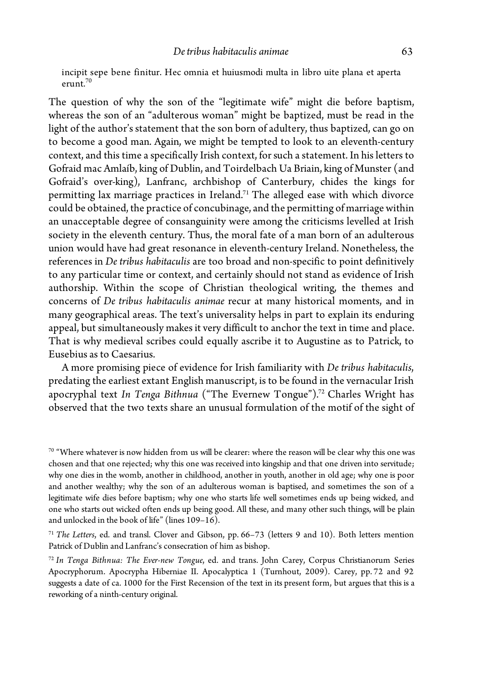incipit sepe bene finitur. Hec omnia et huiusmodi multa in libro uite plana et aperta erunt.<sup>70</sup>

The question of why the son of the "legitimate wife" might die before baptism, whereas the son of an "adulterous woman" might be baptized, must be read in the light of the author's statement that the son born of adultery, thus baptized, can go on to become a good man. Again, we might be tempted to look to an eleventh-century context, and this time a specifically Irish context, for such a statement. In his letters to Gofraid mac Amlaíb, king of Dublin, and Toirdelbach Ua Briain, king of Munster (and Gofraid's over-king), Lanfranc, archbishop of Canterbury, chides the kings for permitting lax marriage practices in Ireland.<sup>71</sup> The alleged ease with which divorce could be obtained, the practice of concubinage, and the permitting of marriage within an unacceptable degree of consanguinity were among the criticisms levelled at Irish society in the eleventh century. Thus, the moral fate of a man born of an adulterous union would have had great resonance in eleventh-century Ireland. Nonetheless, the references in *De tribus habitaculis* are too broad and non-specific to point definitively to any particular time or context, and certainly should not stand as evidence of Irish authorship. Within the scope of Christian theological writing, the themes and concerns of *De tribus habitaculis animae* recur at many historical moments, and in many geographical areas. The text's universality helps in part to explain its enduring appeal, but simultaneously makes it very difficult to anchor the text in time and place. That is why medieval scribes could equally ascribe it to Augustine as to Patrick, to Eusebius as to Caesarius.

 A more promising piece of evidence for Irish familiarity with *De tribus habitaculis*, predating the earliest extant English manuscript, is to be found in the vernacular Irish apocryphal text *In Tenga Bithnua* ("The Evernew Tongue").<sup>72</sup> Charles Wright has observed that the two texts share an unusual formulation of the motif of the sight of

 $70$  "Where whatever is now hidden from us will be clearer: where the reason will be clear why this one was chosen and that one rejected; why this one was received into kingship and that one driven into servitude; why one dies in the womb, another in childhood, another in youth, another in old age; why one is poor and another wealthy; why the son of an adulterous woman is baptised, and sometimes the son of a legitimate wife dies before baptism; why one who starts life well sometimes ends up being wicked, and one who starts out wicked often ends up being good. All these, and many other such things, will be plain and unlocked in the book of life" (lines 109–16).

<sup>71</sup> *The Letters*, ed. and transl. Clover and Gibson, pp. 66–73 (letters 9 and 10). Both letters mention Patrick of Dublin and Lanfranc's consecration of him as bishop.

<sup>72</sup> *In Tenga Bithnua: The Ever-new Tongue*, ed. and trans. John Carey, Corpus Christianorum Series Apocryphorum. Apocrypha Hiberniae II. Apocalyptica 1 (Turnhout, 2009). Carey, pp. 72 and 92 suggests a date of ca. 1000 for the First Recension of the text in its present form, but argues that this is a reworking of a ninth-century original.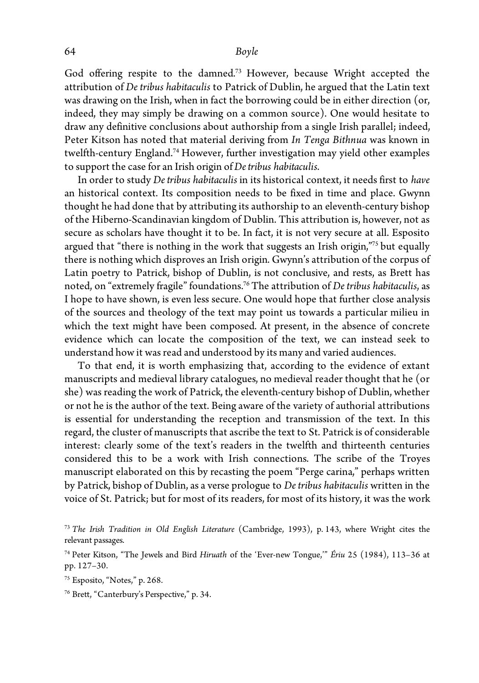God offering respite to the damned.<sup>73</sup> However, because Wright accepted the attribution of *De tribus habitaculis* to Patrick of Dublin, he argued that the Latin text was drawing on the Irish, when in fact the borrowing could be in either direction (or, indeed, they may simply be drawing on a common source). One would hesitate to draw any definitive conclusions about authorship from a single Irish parallel; indeed, Peter Kitson has noted that material deriving from *In Tenga Bithnua* was known in twelfth-century England.<sup>74</sup> However, further investigation may yield other examples to support the case for an Irish origin of *De tribus habitaculis*.

 In order to study *De tribus habitaculis* in its historical context, it needs first to *have* an historical context. Its composition needs to be fixed in time and place. Gwynn thought he had done that by attributing its authorship to an eleventh-century bishop of the Hiberno-Scandinavian kingdom of Dublin. This attribution is, however, not as secure as scholars have thought it to be. In fact, it is not very secure at all. Esposito argued that "there is nothing in the work that suggests an Irish origin,"75 but equally there is nothing which disproves an Irish origin. Gwynn's attribution of the corpus of Latin poetry to Patrick, bishop of Dublin, is not conclusive, and rests, as Brett has noted, on "extremely fragile" foundations.<sup>76</sup> The attribution of *De tribus habitaculis*, as I hope to have shown, is even less secure. One would hope that further close analysis of the sources and theology of the text may point us towards a particular milieu in which the text might have been composed. At present, in the absence of concrete evidence which can locate the composition of the text, we can instead seek to understand how it was read and understood by its many and varied audiences.

 To that end, it is worth emphasizing that, according to the evidence of extant manuscripts and medieval library catalogues, no medieval reader thought that he (or she) was reading the work of Patrick, the eleventh-century bishop of Dublin, whether or not he is the author of the text. Being aware of the variety of authorial attributions is essential for understanding the reception and transmission of the text. In this regard, the cluster of manuscripts that ascribe the text to St. Patrick is of considerable interest: clearly some of the text's readers in the twelfth and thirteenth centuries considered this to be a work with Irish connections. The scribe of the Troyes manuscript elaborated on this by recasting the poem "Perge carina," perhaps written by Patrick, bishop of Dublin, as a verse prologue to *De tribus habitaculis* written in the voice of St. Patrick; but for most of its readers, for most of its history, it was the work

<sup>73</sup> *The Irish Tradition in Old English Literature* (Cambridge, 1993), p. 143, where Wright cites the relevant passages.

<sup>74</sup> Peter Kitson, "The Jewels and Bird *Hiruath* of the 'Ever-new Tongue,'" *Ériu* 25 (1984), 113–36 at pp. 127–30.

<sup>75</sup> Esposito, "Notes," p. 268.

<sup>76</sup> Brett, "Canterbury's Perspective," p. 34.